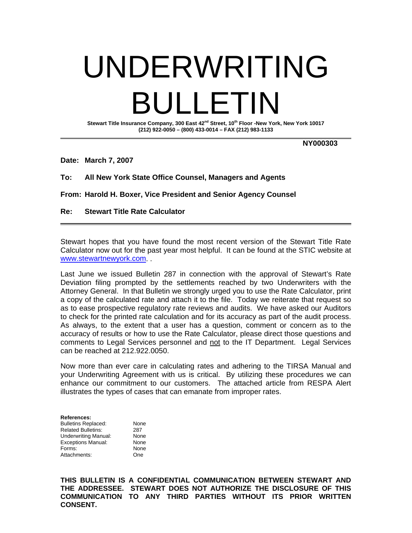# UNDERWRITING BULLETIN

Stewart Title Insurance Company, 300 East 42<sup>nd</sup> Street, 10<sup>th</sup> Floor -New York, New York 10017 **(212) 922-0050 – (800) 433-0014 – FAX (212) 983-1133** 

 **NY000303** 

**Date: March 7, 2007** 

# **To: All New York State Office Counsel, Managers and Agents**

**From: Harold H. Boxer, Vice President and Senior Agency Counsel** 

## **Re: Stewart Title Rate Calculator**

Stewart hopes that you have found the most recent version of the Stewart Title Rate Calculator now out for the past year most helpful. It can be found at the STIC website at www.stewartnewyork.com. .

Last June we issued Bulletin 287 in connection with the approval of Stewart's Rate Deviation filing prompted by the settlements reached by two Underwriters with the Attorney General. In that Bulletin we strongly urged you to use the Rate Calculator, print a copy of the calculated rate and attach it to the file. Today we reiterate that request so as to ease prospective regulatory rate reviews and audits. We have asked our Auditors to check for the printed rate calculation and for its accuracy as part of the audit process. As always, to the extent that a user has a question, comment or concern as to the accuracy of results or how to use the Rate Calculator, please direct those questions and comments to Legal Services personnel and not to the IT Department. Legal Services can be reached at 212.922.0050.

Now more than ever care in calculating rates and adhering to the TIRSA Manual and your Underwriting Agreement with us is critical. By utilizing these procedures we can enhance our commitment to our customers. The attached article from RESPA Alert illustrates the types of cases that can emanate from improper rates.

**References:**  Bulletins Replaced: None Related Bulletins: 287 Underwriting Manual: None Exceptions Manual: None Forms: None Attachments: One

**THIS BULLETIN IS A CONFIDENTIAL COMMUNICATION BETWEEN STEWART AND THE ADDRESSEE. STEWART DOES NOT AUTHORIZE THE DISCLOSURE OF THIS COMMUNICATION TO ANY THIRD PARTIES WITHOUT ITS PRIOR WRITTEN CONSENT.**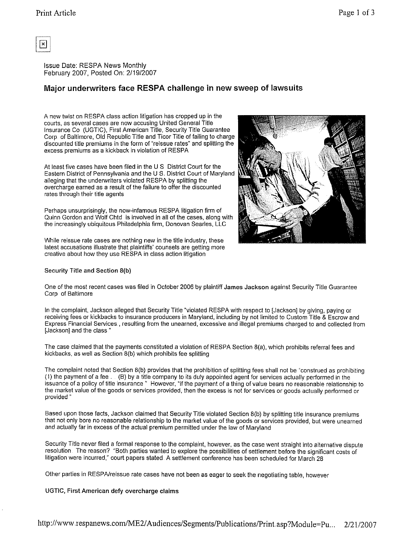

**Issue Date: RESPA News Monthly** February 2007, Posted On: 2/19/2007

# Major underwriters face RESPA challenge in new sweep of lawsuits

A new twist on RESPA class action litigation has cropped up in the courts, as several cases are now accusing United General Title Insurance Co (UGTIC), First American Title, Security Title Guarantee Corp. of Baltimore, Old Republic Title and Ticor Title of failing to charge discounted title premiums in the form of "reissue rates" and splitting the excess premiums as a kickback in violation of RESPA.

At least five cases have been filed in the U S District Court for the Eastern District of Pennsylvania and the U.S. District Court of Maryland alleging that the underwriters violated RESPA by splitting the overcharge earned as a result of the failure to offer the discounted rates through their title agents

Perhaps unsurprisingly, the now-infamous RESPA litigation firm of Quinn Gordon and Wolf Chtd is involved in all of the cases, along with the increasingly ubiquitous Philadelphia firm, Donovan Searles, LLC

While reissue rate cases are nothing new in the title industry, these latest accusations illustrate that plaintiffs' counsels are getting more creative about how they use RESPA in class action litigation

### Security Title and Section 8(b)



One of the most recent cases was filed in October 2006 by plaintiff James Jackson against Security Title Guarantee Corp of Baltimore

In the complaint, Jackson alleged that Security Title "violated RESPA with respect to [Jackson] by giving, paying or receiving fees or kickbacks to insurance producers in Maryland, including by not limited to Custom Title & Escrow and Express Financial Services., resulting from the unearned, excessive and illegal premiums charged to and collected from [Jackson] and the class.'

The case claimed that the payments constituted a violation of RESPA Section 8(a), which prohibits referral fees and kickbacks, as well as Section 8(b) which prohibits fee splitting

The complaint noted that Section 8(b) provides that the prohibition of splitting fees shall not be "construed as prohibiting (1) the payment of a fee ... (B) by a title company to its duly appointed agent for services actually performed in the issuance of a policy of title insurance "However, "if the payment of a thing of value bears no reasonable relationship to the market value of the goods or services provided, then the excess is not for services or goods actually performed or provided '

Based upon those facts, Jackson claimed that Security Title violated Section 8(b) by splitting title insurance premiums that not only bore no reasonable relationship to the market value of the goods or services provided, but were unearned and actually far in excess of the actual premium permitted under the law of Maryland

Security Title never filed a formal response to the complaint, however, as the case went straight into alternative dispute resolution. The reason? "Both parties wanted to explore the possibilities of settlement before the significant costs of litigation were incurred," court papers stated. A settlement conference has been scheduled for March 28

Other parties in RESPA/reissue rate cases have not been as eager to seek the negotiating table, however

### UGTIC, First American defy overcharge claims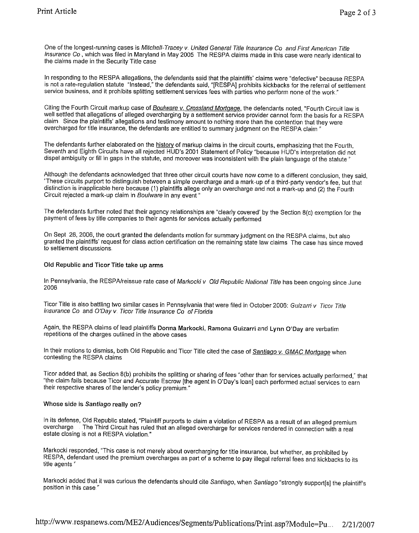One of the longest-running cases is Mitchell-Tracey v. United General Title Insurance Co and First American Title Insurance Co., which was filed in Maryland in May 2005 The RESPA claims made in this case were nearly identical to the claims made in the Security Title case

In responding to the RESPA allegations, the defendants said that the plaintiffs' claims were "defective" because RESPA is not a rate-regulation statute "Instead," the defendants said, "[RESPA] prohibits kickbacks for the referral of settlement service business, and it prohibits splitting settlement services fees with parties who perform none of the work."

Citing the Fourth Circuit markup case of Boulware v. Crossland Mortgage, the defendants noted, "Fourth Circuit law is well settled that allegations of alleged overcharging by a settlement service provider cannot form the basis for a RESPA claim. Since the plaintiffs' allegations and testimony amount to nothing more than the contention that they were overcharged for title insurance, the defendants are entitled to summary judgment on the RESPA claim

The defendants further elaborated on the history of markup claims in the circuit courts, emphasizing that the Fourth, Seventh and Eighth Circuits have all rejected HUD's 2001 Statement of Policy "because HUD's interpretation did not dispel ambiguity or fill in gaps in the statute, and moreover was inconsistent with the plain language of the statute."

Although the defendants acknowledged that three other circuit courts have now come to a different conclusion, they said, "These circuits purport to distinguish between a simple overcharge and a mark-up of a third-party vendor's fee, but that distinction is inapplicable here because (1) plaintiffs allege only an overcharge and not a mark-up and (2) the Fourth Circuit rejected a mark-up claim in Boulware in any event.'

The defendants further noted that their agency relationships are "clearly covered' by the Section 8(c) exemption for the payment of fees by title companies to their agents for services actually performed.

On Sept. 26, 2006, the court granted the defendants motion for summary judgment on the RESPA claims, but also granted the plaintiffs' request for class action certification on the remaining state law claims The case has since moved to settlement discussions.

### Old Republic and Ticor Title take up arms

In Pennsylvania, the RESPA/reissue rate case of Markocki v Old Republic National Tille has been ongoing since June 2006

Ticor Title is also battling two similar cases in Pennsylvania that were filed in October 2006: Guizarri v Ticor Title Insurance Co and O'Day v. Ticor Title Insurance Co of Florida

Again, the RESPA claims of lead plaintiffs Donna Markocki, Ramona Guizarri and Lynn O'Day are verbatim repetitions of the charges outlined in the above cases

In their motions to dismiss, both Old Republic and Ticor Title cited the case of Santiago v. GMAC Mortgage when contesting the RESPA claims.

Ticor added that, as Section 8(b) prohibits the splitting or sharing of fees "other than for services actually performed," that "the claim fails because Ticor and Accurate Escrow [the agent in O'Day's loan] each performed actual services to earn their respective shares of the lender's policy premium.

### Whose side is Santiago really on?

In its defense, Old Republic stated, "Plaintiff purports to claim a violation of RESPA as a result of an alleged premium The Third Circuit has ruled that an alleged overcharge for services rendered in connection with a real overcharge estate closing is not a RESPA violation."

Markocki responded, "This case is not merely about overcharging for title insurance, but whether, as prohibited by RESPA, defendant used the premium overcharges as part of a scheme to pay illegal referral fees and kickbacks to its title agents"

Markocki added that it was curious the defendants should cite Santiago, when Santiago "strongly support[s] the plaintiff's position in this case.